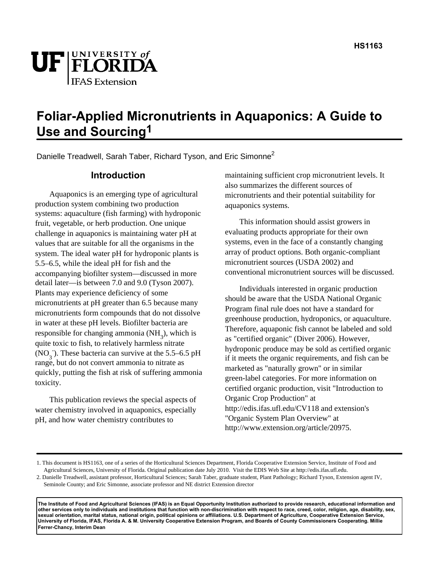

# **Foliar-Applied Micronutrients in Aquaponics: A Guide to Use and Sourcing1**

Danielle Treadwell, Sarah Taber, Richard Tyson, and Eric Simonne<sup>2</sup>

### **Introduction**

Aquaponics is an emerging type of agricultural production system combining two production systems: aquaculture (fish farming) with hydroponic fruit, vegetable, or herb production. One unique challenge in aquaponics is maintaining water pH at values that are suitable for all the organisms in the system. The ideal water pH for hydroponic plants is 5.5–6.5, while the ideal pH for fish and the accompanying biofilter system—discussed in more detail later—is between 7.0 and 9.0 (Tyson 2007). Plants may experience deficiency of some micronutrients at pH greater than 6.5 because many micronutrients form compounds that do not dissolve in water at these pH levels. Biofilter bacteria are responsible for changing ammonia  $(NH_3)$ , which is quite toxic to fish, to relatively harmless nitrate  $(NO<sub>3</sub>)$ . These bacteria can survive at the 5.5–6.5 pH range, but do not convert ammonia to nitrate as quickly, putting the fish at risk of suffering ammonia toxicity.

This publication reviews the special aspects of water chemistry involved in aquaponics, especially pH, and how water chemistry contributes to

maintaining sufficient crop micronutrient levels. It also summarizes the different sources of micronutrients and their potential suitability for aquaponics systems.

This information should assist growers in evaluating products appropriate for their own systems, even in the face of a constantly changing array of product options. Both organic-compliant micronutrient sources (USDA 2002) and conventional micronutrient sources will be discussed.

Individuals interested in organic production should be aware that the USDA National Organic Program final rule does not have a standard for greenhouse production, hydroponics, or aquaculture. Therefore, aquaponic fish cannot be labeled and sold as "certified organic" (Diver 2006). However, hydroponic produce may be sold as certified organic if it meets the organic requirements, and fish can be marketed as "naturally grown" or in similar green-label categories. For more information on certified organic production, visit "Introduction to Organic Crop Production" at http://edis.ifas.ufl.edu/CV118 and extension's "Organic System Plan Overview" at http://www.extension.org/article/20975.

**The Institute of Food and Agricultural Sciences (IFAS) is an Equal Opportunity Institution authorized to provide research, educational information and other services only to individuals and institutions that function with non-discrimination with respect to race, creed, color, religion, age, disability, sex, sexual orientation, marital status, national origin, political opinions or affiliations. U.S. Department of Agriculture, Cooperative Extension Service, University of Florida, IFAS, Florida A. & M. University Cooperative Extension Program, and Boards of County Commissioners Cooperating. Millie Ferrer-Chancy, Interim Dean** 

<sup>1.</sup> This document is HS1163, one of a series of the Horticultural Sciences Department, Florida Cooperative Extension Service, Institute of Food and Agricultural Sciences, University of Florida. Original publication date July 2010. Visit the EDIS Web Site at http://edis.ifas.ufl.edu.

<sup>2.</sup> Danielle Treadwell, assistant professor, Horticultural Sciences; Sarah Taber, graduate student, Plant Pathology; Richard Tyson, Extension agent IV, Seminole County; and Eric Simonne, associate professor and NE district Extension director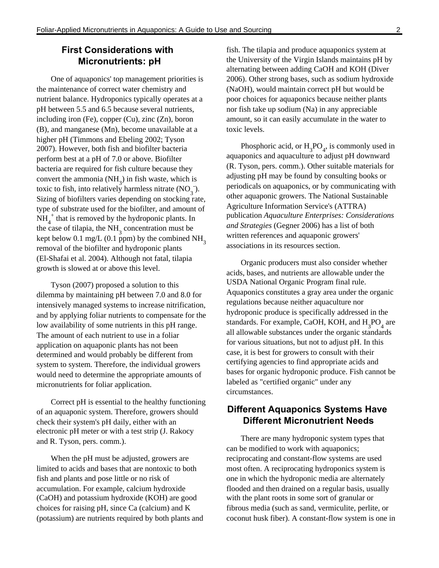# **First Considerations with Micronutrients: pH**

One of aquaponics' top management priorities is the maintenance of correct water chemistry and nutrient balance. Hydroponics typically operates at a pH between 5.5 and 6.5 because several nutrients, including iron (Fe), copper (Cu), zinc (Zn), boron (B), and manganese (Mn), become unavailable at a higher pH (Timmons and Ebeling 2002; Tyson 2007). However, both fish and biofilter bacteria perform best at a pH of 7.0 or above. Biofilter bacteria are required for fish culture because they convert the ammonia  $(NH_3)$  in fish waste, which is toxic to fish, into relatively harmless nitrate  $(NO_3^-)$ . Sizing of biofilters varies depending on stocking rate, type of substrate used for the biofilter, and amount of  $\overline{NH}_4^+$  that is removed by the hydroponic plants. In the case of tilapia, the  $NH<sub>3</sub>$  concentration must be kept below 0.1 mg/L (0.1 ppm) by the combined  $NH<sub>3</sub>$ removal of the biofilter and hydroponic plants (El-Shafai et al. 2004). Although not fatal, tilapia growth is slowed at or above this level.

Tyson (2007) proposed a solution to this dilemma by maintaining pH between 7.0 and 8.0 for intensively managed systems to increase nitrification, and by applying foliar nutrients to compensate for the low availability of some nutrients in this pH range. The amount of each nutrient to use in a foliar application on aquaponic plants has not been determined and would probably be different from system to system. Therefore, the individual growers would need to determine the appropriate amounts of micronutrients for foliar application.

Correct pH is essential to the healthy functioning of an aquaponic system. Therefore, growers should check their system's pH daily, either with an electronic pH meter or with a test strip (J. Rakocy and R. Tyson, pers. comm.).

When the pH must be adjusted, growers are limited to acids and bases that are nontoxic to both fish and plants and pose little or no risk of accumulation. For example, calcium hydroxide (CaOH) and potassium hydroxide (KOH) are good choices for raising pH, since Ca (calcium) and K (potassium) are nutrients required by both plants and fish. The tilapia and produce aquaponics system at the University of the Virgin Islands maintains pH by alternating between adding CaOH and KOH (Diver 2006). Other strong bases, such as sodium hydroxide (NaOH), would maintain correct pH but would be poor choices for aquaponics because neither plants nor fish take up sodium (Na) in any appreciable amount, so it can easily accumulate in the water to toxic levels.

Phosphoric acid, or  $H_3PO_4$ , is commonly used in aquaponics and aquaculture to adjust pH downward (R. Tyson, pers. comm.). Other suitable materials for adjusting pH may be found by consulting books or periodicals on aquaponics, or by communicating with other aquaponic growers. The National Sustainable Agriculture Information Service's (ATTRA) publication *Aquaculture Enterprises: Considerations and Strategies* (Gegner 2006) has a list of both written references and aquaponic growers' associations in its resources section.

Organic producers must also consider whether acids, bases, and nutrients are allowable under the USDA National Organic Program final rule. Aquaponics constitutes a gray area under the organic regulations because neither aquaculture nor hydroponic produce is specifically addressed in the standards. For example, CaOH, KOH, and  $H_3PO_4$  are all allowable substances under the organic standards for various situations, but not to adjust pH. In this case, it is best for growers to consult with their certifying agencies to find appropriate acids and bases for organic hydroponic produce. Fish cannot be labeled as "certified organic" under any circumstances.

## **Different Aquaponics Systems Have Different Micronutrient Needs**

There are many hydroponic system types that can be modified to work with aquaponics; reciprocating and constant-flow systems are used most often. A reciprocating hydroponics system is one in which the hydroponic media are alternately flooded and then drained on a regular basis, usually with the plant roots in some sort of granular or fibrous media (such as sand, vermiculite, perlite, or coconut husk fiber). A constant-flow system is one in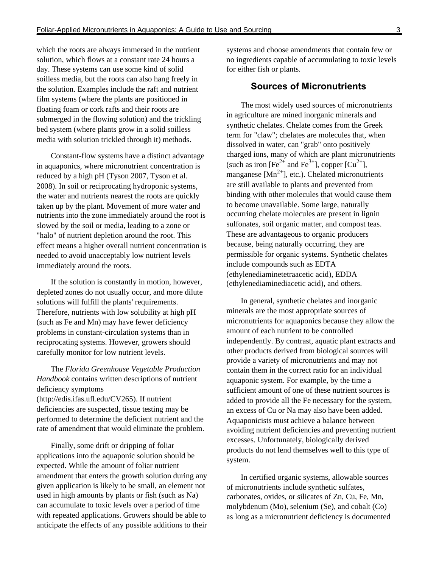which the roots are always immersed in the nutrient solution, which flows at a constant rate 24 hours a day. These systems can use some kind of solid soilless media, but the roots can also hang freely in the solution. Examples include the raft and nutrient film systems (where the plants are positioned in floating foam or cork rafts and their roots are submerged in the flowing solution) and the trickling bed system (where plants grow in a solid soilless media with solution trickled through it) methods.

Constant-flow systems have a distinct advantage in aquaponics, where micronutrient concentration is reduced by a high pH (Tyson 2007, Tyson et al. 2008). In soil or reciprocating hydroponic systems, the water and nutrients nearest the roots are quickly taken up by the plant. Movement of more water and nutrients into the zone immediately around the root is slowed by the soil or media, leading to a zone or "halo" of nutrient depletion around the root. This effect means a higher overall nutrient concentration is needed to avoid unacceptably low nutrient levels immediately around the roots.

If the solution is constantly in motion, however, depleted zones do not usually occur, and more dilute solutions will fulfill the plants' requirements. Therefore, nutrients with low solubility at high pH (such as Fe and Mn) may have fewer deficiency problems in constant-circulation systems than in reciprocating systems. However, growers should carefully monitor for low nutrient levels.

The *Florida Greenhouse Vegetable Production Handbook* contains written descriptions of nutrient deficiency symptoms (http://edis.ifas.ufl.edu/CV265 ). If nutrient deficiencies are suspected, tissue testing may be performed to determine the deficient nutrient and the rate of amendment that would eliminate the problem.

Finally, some drift or dripping of foliar applications into the aquaponic solution should be expected. While the amount of foliar nutrient amendment that enters the growth solution during any given application is likely to be small, an element not used in high amounts by plants or fish (such as Na) can accumulate to toxic levels over a period of time with repeated applications. Growers should be able to anticipate the effects of any possible additions to their

systems and choose amendments that contain few or no ingredients capable of accumulating to toxic levels for either fish or plants.

#### **Sources of Micronutrients**

The most widely used sources of micronutrients in agriculture are mined inorganic minerals and synthetic chelates. Chelate comes from the Greek term for "claw"; chelates are molecules that, when dissolved in water, can "grab" onto positively charged ions, many of which are plant micronutrients (such as iron  $[Fe^{2+}$  and  $Fe^{3+}$ ], copper  $[Cu^{2+}]$ , manganese  $[Mn^{2+}]$ , etc.). Chelated micronutrients are still available to plants and prevented from binding with other molecules that would cause them to become unavailable. Some large, naturally occurring chelate molecules are present in lignin sulfonates, soil organic matter, and compost teas. These are advantageous to organic producers because, being naturally occurring, they are permissible for organic systems. Synthetic chelates include compounds such as EDTA (ethylenediaminetetraacetic acid), EDDA (ethylenediaminediacetic acid), and others.

In general, synthetic chelates and inorganic minerals are the most appropriate sources of micronutrients for aquaponics because they allow the amount of each nutrient to be controlled independently. By contrast, aquatic plant extracts and other products derived from biological sources will provide a variety of micronutrients and may not contain them in the correct ratio for an individual aquaponic system. For example, by the time a sufficient amount of one of these nutrient sources is added to provide all the Fe necessary for the system, an excess of Cu or Na may also have been added. Aquaponicists must achieve a balance between avoiding nutrient deficiencies and preventing nutrient excesses. Unfortunately, biologically derived products do not lend themselves well to this type of system.

In certified organic systems, allowable sources of micronutrients include synthetic sulfates, carbonates, oxides, or silicates of Zn, Cu, Fe, Mn, molybdenum (Mo), selenium (Se), and cobalt (Co) as long as a micronutrient deficiency is documented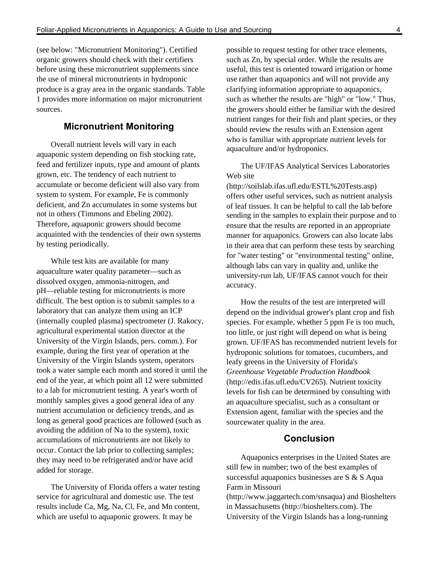(see below: "Micronutrient Monitoring"). Certified organic growers should check with their certifiers before using these micronutrient supplements since the use of mineral micronutrients in hydroponic produce is a gray area in the organic standards. Table 1 provides more information on major micronutrient sources.

#### **Micronutrient Monitoring**

Overall nutrient levels will vary in each aquaponic system depending on fish stocking rate, feed and fertilizer inputs, type and amount of plants grown, etc. The tendency of each nutrient to accumulate or become deficient will also vary from system to system. For example, Fe is commonly deficient, and Zn accumulates in some systems but not in others (Timmons and Ebeling 2002). Therefore, aquaponic growers should become acquainted with the tendencies of their own systems by testing periodically.

While test kits are available for many aquaculture water quality parameter—such as dissolved oxygen, ammonia-nitrogen, and pH—reliable testing for micronutrients is more difficult. The best option is to submit samples to a laboratory that can analyze them using an ICP (internally coupled plasma) spectrometer (J. Rakocy, agricultural experimental station director at the University of the Virgin Islands, pers. comm.). For example, during the first year of operation at the University of the Virgin Islands system, operators took a water sample each month and stored it until the end of the year, at which point all 12 were submitted to a lab for micronutrient testing. A year's worth of monthly samples gives a good general idea of any nutrient accumulation or deficiency trends, and as long as general good practices are followed (such as avoiding the addition of Na to the system), toxic accumulations of micronutrients are not likely to occur. Contact the lab prior to collecting samples; they may need to be refrigerated and/or have acid added for storage.

The University of Florida offers a water testing service for agricultural and domestic use. The test results include Ca, Mg, Na, Cl, Fe, and Mn content, which are useful to aquaponic growers. It may be

possible to request testing for other trace elements, such as Zn, by special order. While the results are useful, this test is oriented toward irrigation or home use rather than aquaponics and will not provide any clarifying information appropriate to aquaponics, such as whether the results are "high" or "low." Thus, the growers should either be familiar with the desired nutrient ranges for their fish and plant species, or they should review the results with an Extension agent who is familiar with appropriate nutrient levels for aquaculture and/or hydroponics.

The UF/IFAS Analytical Services Laboratories Web site

(http://soilslab.ifas.ufl.edu/ESTL%20Tests.asp ) offers other useful services, such as nutrient analysis of leaf tissues. It can be helpful to call the lab before sending in the samples to explain their purpose and to ensure that the results are reported in an appropriate manner for aquaponics. Growers can also locate labs in their area that can perform these tests by searching for "water testing" or "environmental testing" online, although labs can vary in quality and, unlike the university-run lab, UF/IFAS cannot vouch for their accuracy.

How the results of the test are interpreted will depend on the individual grower's plant crop and fish species. For example, whether 5 ppm Fe is too much, too little, or just right will depend on what is being grown. UF/IFAS has recommended nutrient levels for hydroponic solutions for tomatoes, cucumbers, and leafy greens in the University of Florida's *Greenhouse Vegetable Production Handbook* (http://edis.ifas.ufl.edu/CV265 ). Nutrient toxicity levels for fish can be determined by consulting with an aquaculture specialist, such as a consultant or Extension agent, familiar with the species and the sourcewater quality in the area.

#### **Conclusion**

Aquaponics enterprises in the United States are still few in number; two of the best examples of successful aquaponics businesses are S & S Aqua Farm in Missouri

(http://www.jaggartech.com/snsaqua) and Bioshelters in Massachusetts (http://bioshelters.com). The University of the Virgin Islands has a long-running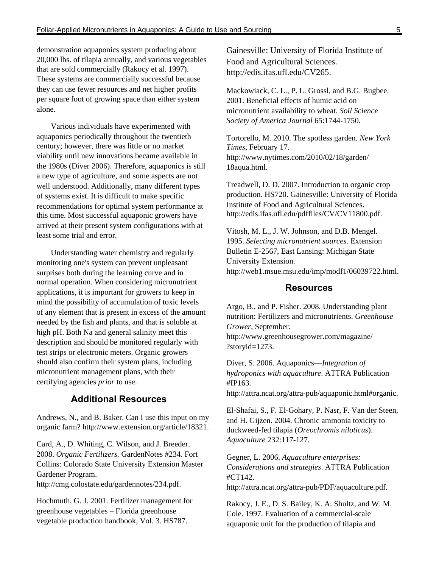demonstration aquaponics system producing about 20,000 lbs. of tilapia annually, and various vegetables that are sold commercially (Rakocy et al. 1997). These systems are commercially successful because they can use fewer resources and net higher profits per square foot of growing space than either system alone.

Various individuals have experimented with aquaponics periodically throughout the twentieth century; however, there was little or no market viability until new innovations became available in the 1980s (Diver 2006). Therefore, aquaponics is still a new type of agriculture, and some aspects are not well understood. Additionally, many different types of systems exist. It is difficult to make specific recommendations for optimal system performance at this time. Most successful aquaponic growers have arrived at their present system configurations with at least some trial and error.

Understanding water chemistry and regularly monitoring one's system can prevent unpleasant surprises both during the learning curve and in normal operation. When considering micronutrient applications, it is important for growers to keep in mind the possibility of accumulation of toxic levels of any element that is present in excess of the amount needed by the fish and plants, and that is soluble at high pH. Both Na and general salinity meet this description and should be monitored regularly with test strips or electronic meters. Organic growers should also confirm their system plans, including micronutrient management plans, with their certifying agencies *prior* to use.

# **Additional Resources**

Andrews, N., and B. Baker. Can I use this input on my organic farm? http://www.extension.org/article/18321.

Card, A., D. Whiting, C. Wilson, and J. Breeder. 2008. *Organic Fertilizers.* GardenNotes #234. Fort Collins: Colorado State University Extension Master Gardener Program.

http://cmg.colostate.edu/gardennotes/234.pdf.

 Hochmuth, G. J. 2001. Fertilizer management for greenhouse vegetables – Florida greenhouse vegetable production handbook, Vol. 3. HS787.

Gainesville: University of Florida Institute of Food and Agricultural Sciences. http://edis.ifas.ufl.edu/CV265.

Mackowiack, C. L., P. L. Grossl, and B.G. Bugbee. 2001. Beneficial effects of humic acid on micronutrient availability to wheat. *Soil Science Society of America Journal* 65:1744-1750.

Tortorello, M. 2010. The spotless garden. *New York Times*, February 17. http://www.nytimes.com/2010/02/18/garden/ 18aqua.html.

Treadwell, D. D. 2007. Introduction to organic crop production. HS720. Gainesville: University of Florida Institute of Food and Agricultural Sciences. http://edis.ifas.ufl.edu/pdffiles/CV/CV11800.pdf.

 Vitosh, M. L., J. W. Johnson, and D.B. Mengel. 1995. *Selecting micronutrient sources*. Extension Bulletin E-2567, East Lansing: Michigan State University Extension. http://web1.msue.msu.edu/imp/modf1/06039722.html.

#### **Resources**

Argo, B., and P. Fisher. 2008. Understanding plant nutrition: Fertilizers and micronutrients. *Greenhouse Grower*, September.

http://www.greenhousegrower.com/magazine/ ?storyid=1273.

Diver, S. 2006. Aquaponics—*Integration of hydroponics with aquaculture*. ATTRA Publication #IP163.

http://attra.ncat.org/attra-pub/aquaponic.html#organic.

El-Shafai, S., F. El-Gohary, P. Nasr, F. Van der Steen, and H. Gijzen. 2004. Chronic ammonia toxicity to duckweed-fed tilapia (*Oreochromis niloticus*). *Aquaculture* 232:117-127.

Gegner, L. 2006. *Aquaculture enterprises: Considerations and strategies*. ATTRA Publication #CT142.

http://attra.ncat.org/attra-pub/PDF/aquaculture.pdf.

Rakocy, J. E., D. S. Bailey, K. A. Shultz, and W. M. Cole. 1997. Evaluation of a commercial-scale aquaponic unit for the production of tilapia and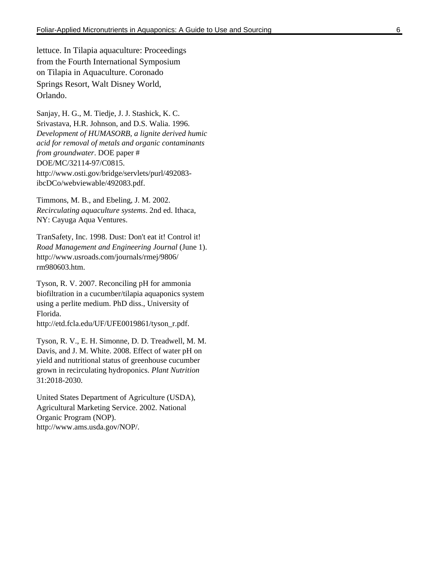lettuce. In Tilapia aquaculture: Proceedings from the Fourth International Symposium on Tilapia in Aquaculture. Coronado Springs Resort, Walt Disney World, Orlando.

Sanjay, H. G., M. Tiedje, J. J. Stashick, K. C. Srivastava, H.R. Johnson, and D.S. Walia. 1996. *Development of HUMASORB, a lignite derived humic acid for removal of metals and organic contaminants from groundwater*. DOE paper # DOE/MC/32114-97/C0815. http://www.osti.gov/bridge/servlets/purl/492083 ibcDCo/webviewable/492083.pdf.

Timmons, M. B., and Ebeling, J. M. 2002. *Recirculating aquaculture systems*. 2nd ed. Ithaca, NY: Cayuga Aqua Ventures.

TranSafety, Inc. 1998. Dust: Don't eat it! Control it! *Road Management and Engineering Journal* (June 1). http://www.usroads.com/journals/rmej/9806/ rm980603.htm.

Tyson, R. V. 2007. Reconciling pH for ammonia biofiltration in a cucumber/tilapia aquaponics system using a perlite medium. PhD diss., University of Florida.

http://etd.fcla.edu/UF/UFE0019861/tyson\_r.pdf.

Tyson, R. V., E. H. Simonne, D. D. Treadwell, M. M. Davis, and J. M. White. 2008. Effect of water pH on yield and nutritional status of greenhouse cucumber grown in recirculating hydroponics. *Plant Nutrition* 31:2018-2030.

United States Department of Agriculture (USDA), Agricultural Marketing Service. 2002. National Organic Program (NOP). http://www.ams.usda.gov/NOP/.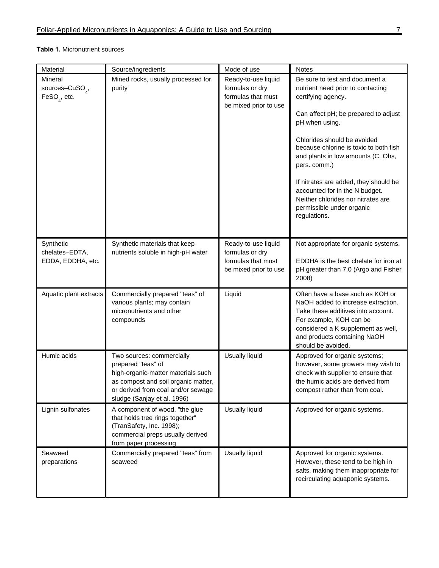#### **Table 1.** Micronutrient sources

| Material                                                             | Source/ingredients                                                                                                                                                                                | Mode of use                                                                           | <b>Notes</b>                                                                                                                                                                                                                                                                                                                                                                                                                                     |
|----------------------------------------------------------------------|---------------------------------------------------------------------------------------------------------------------------------------------------------------------------------------------------|---------------------------------------------------------------------------------------|--------------------------------------------------------------------------------------------------------------------------------------------------------------------------------------------------------------------------------------------------------------------------------------------------------------------------------------------------------------------------------------------------------------------------------------------------|
| Mineral<br>sources-CuSO <sub>4</sub> ,<br>$\mathsf{FeSO}_{4}$ , etc. | Mined rocks, usually processed for<br>purity                                                                                                                                                      | Ready-to-use liquid<br>formulas or dry<br>formulas that must<br>be mixed prior to use | Be sure to test and document a<br>nutrient need prior to contacting<br>certifying agency.<br>Can affect pH; be prepared to adjust<br>pH when using.<br>Chlorides should be avoided<br>because chlorine is toxic to both fish<br>and plants in low amounts (C. Ohs,<br>pers. comm.)<br>If nitrates are added, they should be<br>accounted for in the N budget.<br>Neither chlorides nor nitrates are<br>permissible under organic<br>regulations. |
| Synthetic<br>chelates-EDTA,<br>EDDA, EDDHA, etc.                     | Synthetic materials that keep<br>nutrients soluble in high-pH water                                                                                                                               | Ready-to-use liquid<br>formulas or dry<br>formulas that must<br>be mixed prior to use | Not appropriate for organic systems.<br>EDDHA is the best chelate for iron at<br>pH greater than 7.0 (Argo and Fisher<br>2008)                                                                                                                                                                                                                                                                                                                   |
| Aquatic plant extracts                                               | Commercially prepared "teas" of<br>various plants; may contain<br>micronutrients and other<br>compounds                                                                                           | Liquid                                                                                | Often have a base such as KOH or<br>NaOH added to increase extraction.<br>Take these additives into account.<br>For example, KOH can be<br>considered a K supplement as well,<br>and products containing NaOH<br>should be avoided.                                                                                                                                                                                                              |
| Humic acids                                                          | Two sources: commercially<br>prepared "teas" of<br>high-organic-matter materials such<br>as compost and soil organic matter.<br>or derived from coal and/or sewage<br>sludge (Sanjay et al. 1996) | Usually liquid                                                                        | Approved for organic systems;<br>however, some growers may wish to<br>check with supplier to ensure that<br>the humic acids are derived from<br>compost rather than from coal.                                                                                                                                                                                                                                                                   |
| Lignin sulfonates                                                    | A component of wood, "the glue<br>that holds tree rings together"<br>(TranSafety, Inc. 1998);<br>commercial preps usually derived<br>from paper processing                                        | <b>Usually liquid</b>                                                                 | Approved for organic systems.                                                                                                                                                                                                                                                                                                                                                                                                                    |
| Seaweed<br>preparations                                              | Commercially prepared "teas" from<br>seaweed                                                                                                                                                      | <b>Usually liquid</b>                                                                 | Approved for organic systems.<br>However, these tend to be high in<br>salts, making them inappropriate for<br>recirculating aquaponic systems.                                                                                                                                                                                                                                                                                                   |